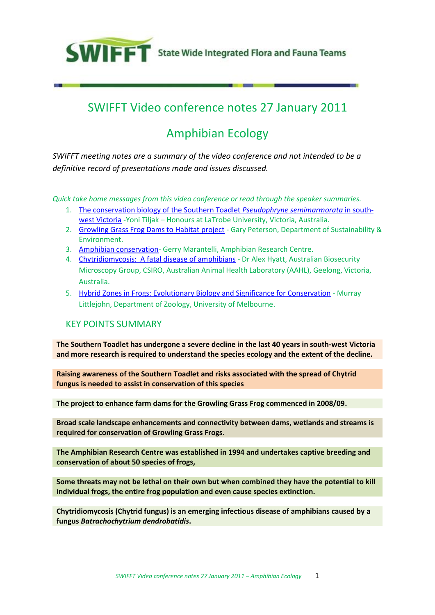

# SWIFFT Video conference notes 27 January 2011

# Amphibian Ecology

*SWIFFT meeting notes are a summary of the video conference and not intended to be a definitive record of presentations made and issues discussed.*

*Quick take home messages from this video conference or read through the speaker summaries.*

- 1. [The conservation biology of the Southern Toadlet](#page-1-0) *Pseudophryne semimarmorata* in south[west Victoria](#page-1-0) -Yoni Tiljak – Honours at LaTrobe University, Victoria, Australia.
- 2. [Growling Grass Frog Dams to Habitat project](#page-5-0) Gary Peterson, Department of Sustainability & Environment.
- 3. [Amphibian conservation-](#page-5-1) Gerry Marantelli, Amphibian Research Centre.
- 4. [Chytridiomycosis: A fatal disease of amphibians](#page-9-0) Dr Alex Hyatt, Australian Biosecurity Microscopy Group, CSIRO, Australian Animal Health Laboratory (AAHL), Geelong, Victoria, Australia.
- 5. [Hybrid Zones in Frogs: Evolutionary Biology and Significance for Conservation](#page-13-0) Murray Littlejohn, Department of Zoology, University of Melbourne.

#### <span id="page-0-0"></span>KEY POINTS SUMMARY

**The Southern Toadlet has undergone a severe decline in the last 40 years in south-west Victoria and more research is required to understand the species ecology and the extent of the decline.** 

**Raising awareness of the Southern Toadlet and risks associated with the spread of Chytrid fungus is needed to assist in conservation of this species**

**The project to enhance farm dams for the Growling Grass Frog commenced in 2008/09.**

**Broad scale landscape enhancements and connectivity between dams, wetlands and streams is required for conservation of Growling Grass Frogs.**

**The Amphibian Research Centre was established in 1994 and undertakes captive breeding and conservation of about 50 species of frogs,**

**Some threats may not be lethal on their own but when combined they have the potential to kill individual frogs, the entire frog population and even cause species extinction.**

**Chytridiomycosis (Chytrid fungus) is an emerging infectious disease of amphibians caused by a fungus** *Batrachochytrium dendrobatidis***.**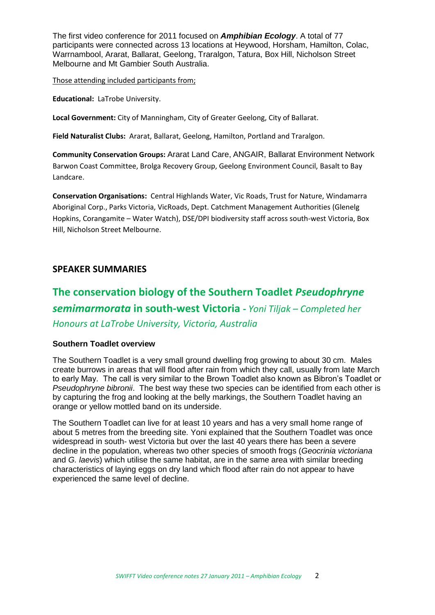The first video conference for 2011 focused on *Amphibian Ecology*. A total of 77 participants were connected across 13 locations at Heywood, Horsham, Hamilton, Colac, Warrnambool, Ararat, Ballarat, Geelong, Traralgon, Tatura, Box Hill, Nicholson Street Melbourne and Mt Gambier South Australia.

Those attending included participants from;

**Educational:** LaTrobe University.

**Local Government:** City of Manningham, City of Greater Geelong, City of Ballarat.

**Field Naturalist Clubs:** Ararat, Ballarat, Geelong, Hamilton, Portland and Traralgon.

**Community Conservation Groups:** Ararat Land Care, ANGAIR, Ballarat Environment Network Barwon Coast Committee, Brolga Recovery Group, Geelong Environment Council, Basalt to Bay Landcare.

**Conservation Organisations:** Central Highlands Water, Vic Roads, Trust for Nature, Windamarra Aboriginal Corp., Parks Victoria, VicRoads, Dept. Catchment Management Authorities (Glenelg Hopkins, Corangamite – Water Watch), DSE/DPI biodiversity staff across south-west Victoria, Box Hill, Nicholson Street Melbourne.

### **SPEAKER SUMMARIES**

# <span id="page-1-0"></span>**The conservation biology of the Southern Toadlet** *Pseudophryne semimarmorata* **in south-west Victoria -** *Yoni Tiljak – Completed her Honours at LaTrobe University, Victoria, Australia*

#### **Southern Toadlet overview**

The Southern Toadlet is a very small ground dwelling frog growing to about 30 cm. Males create burrows in areas that will flood after rain from which they call, usually from late March to early May. The call is very similar to the Brown Toadlet also known as Bibron's Toadlet or *Pseudophryne bibronii*. The best way these two species can be identified from each other is by capturing the frog and looking at the belly markings, the Southern Toadlet having an orange or yellow mottled band on its underside.

The Southern Toadlet can live for at least 10 years and has a very small home range of about 5 metres from the breeding site. Yoni explained that the Southern Toadlet was once widespread in south- west Victoria but over the last 40 years there has been a severe decline in the population, whereas two other species of smooth frogs (*Geocrinia victoriana* and *G. laevis*) which utilise the same habitat, are in the same area with similar breeding characteristics of laying eggs on dry land which flood after rain do not appear to have experienced the same level of decline.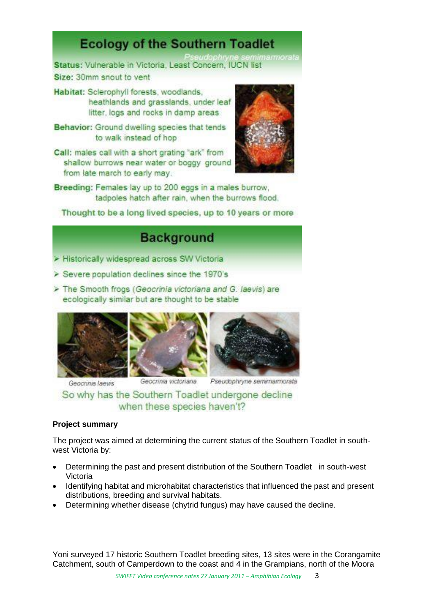# **Ecology of the Southern Toadlet**

Status: Vulnerable in Victoria, Least Concern, IUCN list Size: 30mm snout to yent

- Habitat: Sclerophyll forests, woodlands, heathlands and grasslands, under leaf litter, logs and rocks in damp areas
- Behavior: Ground dwelling species that tends to walk instead of hop
- Call: males call with a short grating "ark" from shallow burrows near water or boggy ground from late march to early may.



Breeding: Females lay up to 200 eggs in a males burrow, tadpoles hatch after rain, when the burrows flood.

Thought to be a long lived species, up to 10 years or more

# **Background**

- Historically widespread across SW Victoria
- > Severe population declines since the 1970's
- > The Smooth frogs (Geocrinia victoriana and G. laevis) are ecologically similar but are thought to be stable







Geocrinia laevis

Geocrinia victoriana

Pseudophryne semimarmorata

So why has the Southern Toadlet undergone decline when these species haven't?

# **Project summary**

The project was aimed at determining the current status of the Southern Toadlet in southwest Victoria by:

- Determining the past and present distribution of the Southern Toadlet in south-west Victoria
- Identifying habitat and microhabitat characteristics that influenced the past and present distributions, breeding and survival habitats.
- Determining whether disease (chytrid fungus) may have caused the decline.

Yoni surveyed 17 historic Southern Toadlet breeding sites, 13 sites were in the Corangamite Catchment, south of Camperdown to the coast and 4 in the Grampians, north of the Moora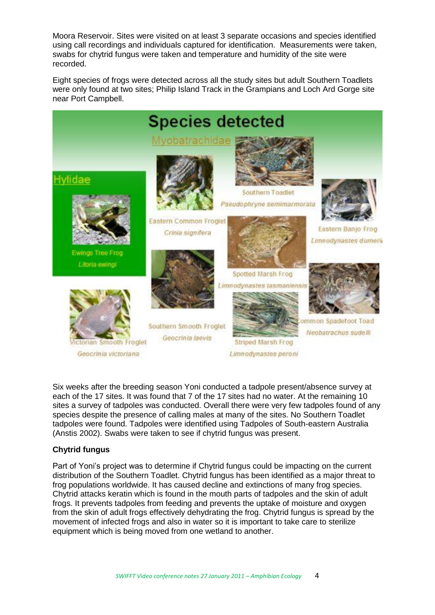Moora Reservoir. Sites were visited on at least 3 separate occasions and species identified using call recordings and individuals captured for identification. Measurements were taken, swabs for chytrid fungus were taken and temperature and humidity of the site were recorded.

Eight species of frogs were detected across all the study sites but adult Southern Toadlets were only found at two sites; Philip Island Track in the Grampians and Loch Ard Gorge site near Port Campbell.



Six weeks after the breeding season Yoni conducted a tadpole present/absence survey at each of the 17 sites. It was found that 7 of the 17 sites had no water. At the remaining 10 sites a survey of tadpoles was conducted. Overall there were very few tadpoles found of any species despite the presence of calling males at many of the sites. No Southern Toadlet tadpoles were found. Tadpoles were identified using Tadpoles of South-eastern Australia (Anstis 2002). Swabs were taken to see if chytrid fungus was present.

#### **Chytrid fungus**

Part of Yoni's project was to determine if Chytrid fungus could be impacting on the current distribution of the Southern Toadlet. Chytrid fungus has been identified as a major threat to frog populations worldwide. It has caused decline and extinctions of many frog species. Chytrid attacks keratin which is found in the mouth parts of tadpoles and the skin of adult frogs. It prevents tadpoles from feeding and prevents the uptake of moisture and oxygen from the skin of adult frogs effectively dehydrating the frog. Chytrid fungus is spread by the movement of infected frogs and also in water so it is important to take care to sterilize equipment which is being moved from one wetland to another.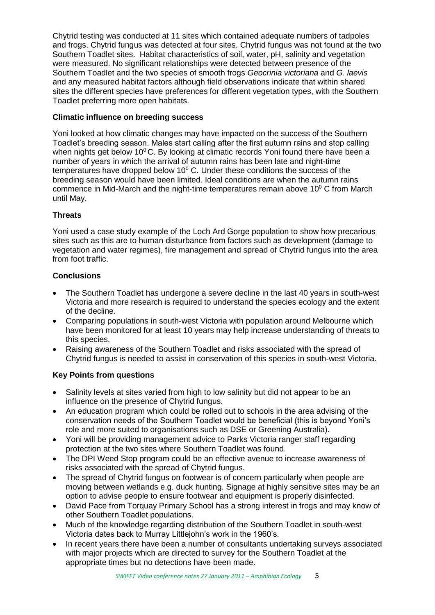Chytrid testing was conducted at 11 sites which contained adequate numbers of tadpoles and frogs. Chytrid fungus was detected at four sites. Chytrid fungus was not found at the two Southern Toadlet sites. Habitat characteristics of soil, water, pH, salinity and vegetation were measured. No significant relationships were detected between presence of the Southern Toadlet and the two species of smooth frogs *Geocrinia victoriana* and *G. laevis* and any measured habitat factors although field observations indicate that within shared sites the different species have preferences for different vegetation types, with the Southern Toadlet preferring more open habitats.

## **Climatic influence on breeding success**

Yoni looked at how climatic changes may have impacted on the success of the Southern Toadlet's breeding season. Males start calling after the first autumn rains and stop calling when nights get below 10 $^{\circ}$ C. By looking at climatic records Yoni found there have been a number of years in which the arrival of autumn rains has been late and night-time temperatures have dropped below  $10^{\circ}$  C. Under these conditions the success of the breeding season would have been limited. Ideal conditions are when the autumn rains commence in Mid-March and the night-time temperatures remain above  $10^{\circ}$  C from March until May.

### **Threats**

Yoni used a case study example of the Loch Ard Gorge population to show how precarious sites such as this are to human disturbance from factors such as development (damage to vegetation and water regimes), fire management and spread of Chytrid fungus into the area from foot traffic.

### **Conclusions**

- The Southern Toadlet has undergone a severe decline in the last 40 years in south-west Victoria and more research is required to understand the species ecology and the extent of the decline.
- Comparing populations in south-west Victoria with population around Melbourne which have been monitored for at least 10 years may help increase understanding of threats to this species.
- Raising awareness of the Southern Toadlet and risks associated with the spread of Chytrid fungus is needed to assist in conservation of this species in south-west Victoria.

## **Key Points from questions**

- Salinity levels at sites varied from high to low salinity but did not appear to be an influence on the presence of Chytrid fungus.
- An education program which could be rolled out to schools in the area advising of the conservation needs of the Southern Toadlet would be beneficial (this is beyond Yoni's role and more suited to organisations such as DSE or Greening Australia).
- Yoni will be providing management advice to Parks Victoria ranger staff regarding protection at the two sites where Southern Toadlet was found.
- The DPI Weed Stop program could be an effective avenue to increase awareness of risks associated with the spread of Chytrid fungus.
- The spread of Chytrid fungus on footwear is of concern particularly when people are moving between wetlands e.g. duck hunting. Signage at highly sensitive sites may be an option to advise people to ensure footwear and equipment is properly disinfected.
- David Pace from Torquay Primary School has a strong interest in frogs and may know of other Southern Toadlet populations.
- Much of the knowledge regarding distribution of the Southern Toadlet in south-west Victoria dates back to Murray Littlejohn's work in the 1960's.
- In recent years there have been a number of consultants undertaking surveys associated with major projects which are directed to survey for the Southern Toadlet at the appropriate times but no detections have been made.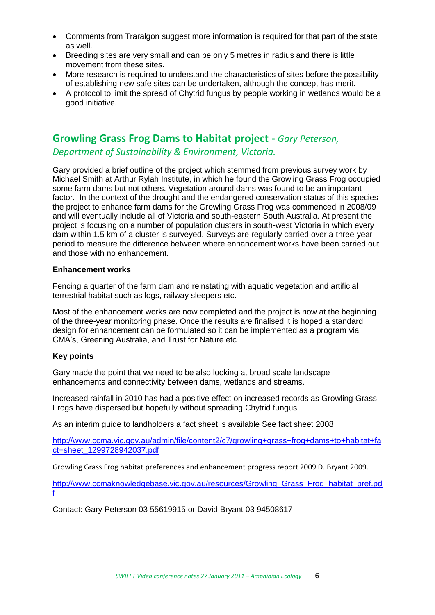- <span id="page-5-1"></span>• Comments from Traralgon suggest more information is required for that part of the state as well.
- Breeding sites are very small and can be only 5 metres in radius and there is little movement from these sites.
- More research is required to understand the characteristics of sites before the possibility of establishing new safe sites can be undertaken, although the concept has merit.
- A protocol to limit the spread of Chytrid fungus by people working in wetlands would be a good initiative.

# <span id="page-5-0"></span>**Growling Grass Frog Dams to Habitat project -** *Gary Peterson,*

## *Department of Sustainability & Environment, Victoria.*

Gary provided a brief outline of the project which stemmed from previous survey work by Michael Smith at Arthur Rylah Institute, in which he found the Growling Grass Frog occupied some farm dams but not others. Vegetation around dams was found to be an important factor. In the context of the drought and the endangered conservation status of this species the project to enhance farm dams for the Growling Grass Frog was commenced in 2008/09 and will eventually include all of Victoria and south-eastern South Australia. At present the project is focusing on a number of population clusters in south-west Victoria in which every dam within 1.5 km of a cluster is surveyed. Surveys are regularly carried over a three-year period to measure the difference between where enhancement works have been carried out and those with no enhancement.

#### **Enhancement works**

Fencing a quarter of the farm dam and reinstating with aquatic vegetation and artificial terrestrial habitat such as logs, railway sleepers etc.

Most of the enhancement works are now completed and the project is now at the beginning of the three-year monitoring phase. Once the results are finalised it is hoped a standard design for enhancement can be formulated so it can be implemented as a program via CMA's, Greening Australia, and Trust for Nature etc.

#### **Key points**

Gary made the point that we need to be also looking at broad scale landscape enhancements and connectivity between dams, wetlands and streams.

Increased rainfall in 2010 has had a positive effect on increased records as Growling Grass Frogs have dispersed but hopefully without spreading Chytrid fungus.

As an interim guide to landholders a fact sheet is available See fact sheet 2008

[http://www.ccma.vic.gov.au/admin/file/content2/c7/growling+grass+frog+dams+to+habitat+fa](http://www.ccma.vic.gov.au/admin/file/content2/c7/growling+grass+frog+dams+to+habitat+fact+sheet_1299728942037.pdf) [ct+sheet\\_1299728942037.pdf](http://www.ccma.vic.gov.au/admin/file/content2/c7/growling+grass+frog+dams+to+habitat+fact+sheet_1299728942037.pdf)

Growling Grass Frog habitat preferences and enhancement progress report 2009 D. Bryant 2009.

[http://www.ccmaknowledgebase.vic.gov.au/resources/Growling\\_Grass\\_Frog\\_habitat\\_pref.pd](http://www.ccmaknowledgebase.vic.gov.au/resources/Growling_Grass_Frog_habitat_pref.pdf) [f](http://www.ccmaknowledgebase.vic.gov.au/resources/Growling_Grass_Frog_habitat_pref.pdf)

Contact: Gary Peterson 03 55619915 or David Bryant 03 94508617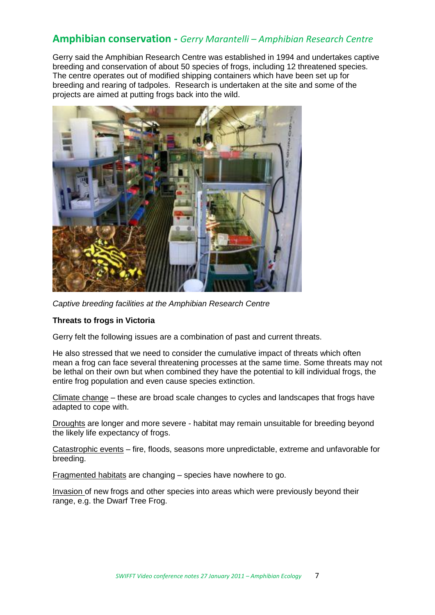# **Amphibian conservation -** *Gerry Marantelli – Amphibian Research Centre*

Gerry said the Amphibian Research Centre was established in 1994 and undertakes captive breeding and conservation of about 50 species of frogs, including 12 threatened species. The centre operates out of modified shipping containers which have been set up for breeding and rearing of tadpoles. Research is undertaken at the site and some of the projects are aimed at putting frogs back into the wild.



*Captive breeding facilities at the Amphibian Research Centre*

#### **Threats to frogs in Victoria**

Gerry felt the following issues are a combination of past and current threats.

He also stressed that we need to consider the cumulative impact of threats which often mean a frog can face several threatening processes at the same time. Some threats may not be lethal on their own but when combined they have the potential to kill individual frogs, the entire frog population and even cause species extinction.

Climate change – these are broad scale changes to cycles and landscapes that frogs have adapted to cope with.

Droughts are longer and more severe - habitat may remain unsuitable for breeding beyond the likely life expectancy of frogs.

Catastrophic events – fire, floods, seasons more unpredictable, extreme and unfavorable for breeding.

Fragmented habitats are changing – species have nowhere to go.

Invasion of new frogs and other species into areas which were previously beyond their range, e.g. the Dwarf Tree Frog.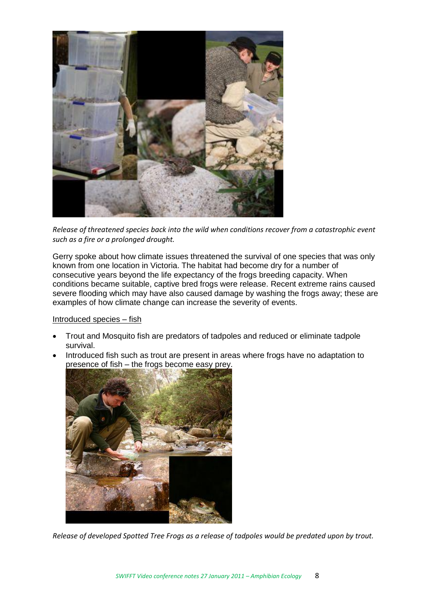

*Release of threatened species back into the wild when conditions recover from a catastrophic event such as a fire or a prolonged drought.*

Gerry spoke about how climate issues threatened the survival of one species that was only known from one location in Victoria. The habitat had become dry for a number of consecutive years beyond the life expectancy of the frogs breeding capacity. When conditions became suitable, captive bred frogs were release. Recent extreme rains caused severe flooding which may have also caused damage by washing the frogs away; these are examples of how climate change can increase the severity of events.

Introduced species – fish

- Trout and Mosquito fish are predators of tadpoles and reduced or eliminate tadpole survival.
- Introduced fish such as trout are present in areas where frogs have no adaptation to presence of fish – the frogs become easy prey.



*Release of developed Spotted Tree Frogs as a release of tadpoles would be predated upon by trout.*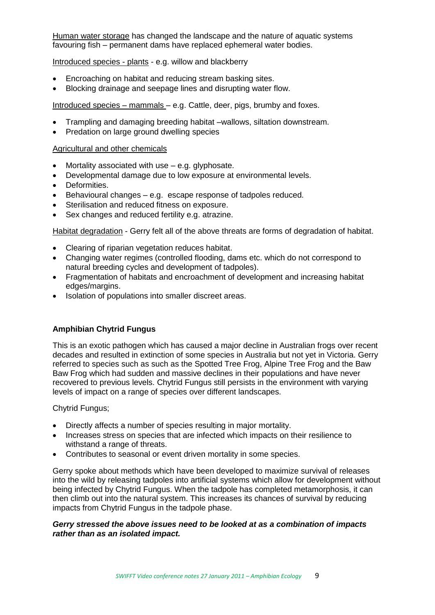Human water storage has changed the landscape and the nature of aquatic systems favouring fish – permanent dams have replaced ephemeral water bodies.

#### Introduced species - plants - e.g. willow and blackberry

- Encroaching on habitat and reducing stream basking sites.
- Blocking drainage and seepage lines and disrupting water flow.

Introduced species – mammals – e.g. Cattle, deer, pigs, brumby and foxes.

- Trampling and damaging breeding habitat –wallows, siltation downstream.
- Predation on large ground dwelling species

#### Agricultural and other chemicals

- Mortality associated with use e.g. glyphosate.
- Developmental damage due to low exposure at environmental levels.
- Deformities.
- Behavioural changes e.g. escape response of tadpoles reduced.
- Sterilisation and reduced fitness on exposure.
- Sex changes and reduced fertility e.g. atrazine.

Habitat degradation - Gerry felt all of the above threats are forms of degradation of habitat.

- Clearing of riparian vegetation reduces habitat.
- Changing water regimes (controlled flooding, dams etc. which do not correspond to natural breeding cycles and development of tadpoles).
- Fragmentation of habitats and encroachment of development and increasing habitat edges/margins.
- Isolation of populations into smaller discreet areas.

#### **Amphibian Chytrid Fungus**

This is an exotic pathogen which has caused a major decline in Australian frogs over recent decades and resulted in extinction of some species in Australia but not yet in Victoria. Gerry referred to species such as such as the Spotted Tree Frog, Alpine Tree Frog and the Baw Baw Frog which had sudden and massive declines in their populations and have never recovered to previous levels. Chytrid Fungus still persists in the environment with varying levels of impact on a range of species over different landscapes.

Chytrid Fungus;

- Directly affects a number of species resulting in major mortality.
- Increases stress on species that are infected which impacts on their resilience to withstand a range of threats.
- Contributes to seasonal or event driven mortality in some species.

Gerry spoke about methods which have been developed to maximize survival of releases into the wild by releasing tadpoles into artificial systems which allow for development without being infected by Chytrid Fungus. When the tadpole has completed metamorphosis, it can then climb out into the natural system. This increases its chances of survival by reducing impacts from Chytrid Fungus in the tadpole phase.

#### *Gerry stressed the above issues need to be looked at as a combination of impacts rather than as an isolated impact.*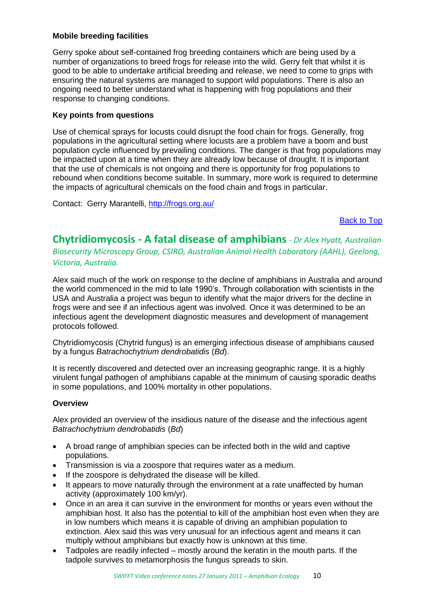#### **Mobile breeding facilities**

Gerry spoke about self-contained frog breeding containers which are being used by a number of organizations to breed frogs for release into the wild. Gerry felt that whilst it is good to be able to undertake artificial breeding and release, we need to come to grips with ensuring the natural systems are managed to support wild populations. There is also an ongoing need to better understand what is happening with frog populations and their response to changing conditions.

#### **Key points from questions**

Use of chemical sprays for locusts could disrupt the food chain for frogs. Generally, frog populations in the agricultural setting where locusts are a problem have a boom and bust population cycle influenced by prevailing conditions. The danger is that frog populations may be impacted upon at a time when they are already low because of drought. It is important that the use of chemicals is not ongoing and there is opportunity for frog populations to rebound when conditions become suitable. In summary, more work is required to determine the impacts of agricultural chemicals on the food chain and frogs in particular.

Contact: Gerry Marantelli,<http://frogs.org.au/>

[Back to Top](#page-0-0)

<span id="page-9-0"></span>**Chytridiomycosis - A fatal disease of amphibians** *- Dr Alex Hyatt, Australian Biosecurity Microscopy Group, CSIRO, Australian Animal Health Laboratory (AAHL), Geelong, Victoria, Australia.* 

Alex said much of the work on response to the decline of amphibians in Australia and around the world commenced in the mid to late 1990's. Through collaboration with scientists in the USA and Australia a project was begun to identify what the major drivers for the decline in frogs were and see if an infectious agent was involved. Once it was determined to be an infectious agent the development diagnostic measures and development of management protocols followed.

Chytridiomycosis (Chytrid fungus) is an emerging infectious disease of amphibians caused by a fungus *Batrachochytrium dendrobatidis* (*Bd*).

It is recently discovered and detected over an increasing geographic range. It is a highly virulent fungal pathogen of amphibians capable at the minimum of causing sporadic deaths in some populations, and 100% mortality in other populations.

#### **Overview**

Alex provided an overview of the insidious nature of the disease and the infectious agent *Batrachochytrium dendrobatidis* (*Bd*)

- A broad range of amphibian species can be infected both in the wild and captive populations.
- Transmission is via a zoospore that requires water as a medium.
- If the zoospore is dehydrated the disease will be killed.
- It appears to move naturally through the environment at a rate unaffected by human activity (approximately 100 km/yr).
- Once in an area it can survive in the environment for months or years even without the amphibian host. It also has the potential to kill of the amphibian host even when they are in low numbers which means it is capable of driving an amphibian population to extinction. Alex said this was very unusual for an infectious agent and means it can multiply without amphibians but exactly how is unknown at this time.
- Tadpoles are readily infected mostly around the keratin in the mouth parts. If the tadpole survives to metamorphosis the fungus spreads to skin.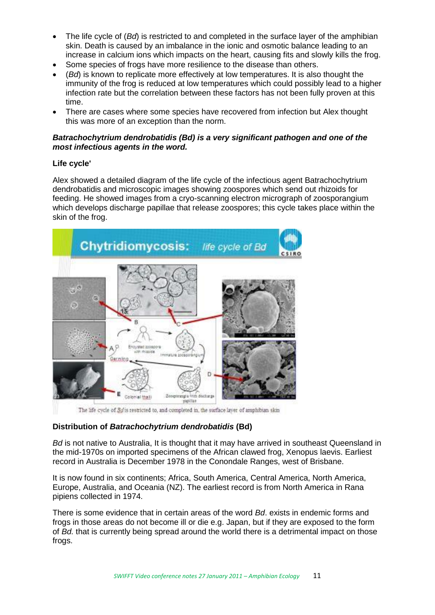- The life cycle of (*Bd*) is restricted to and completed in the surface layer of the amphibian skin. Death is caused by an imbalance in the ionic and osmotic balance leading to an increase in calcium ions which impacts on the heart, causing fits and slowly kills the frog.
- Some species of frogs have more resilience to the disease than others.
- (*Bd*) is known to replicate more effectively at low temperatures. It is also thought the immunity of the frog is reduced at low temperatures which could possibly lead to a higher infection rate but the correlation between these factors has not been fully proven at this time.
- There are cases where some species have recovered from infection but Alex thought this was more of an exception than the norm.

#### *Batrachochytrium dendrobatidis (Bd) is a very significant pathogen and one of the most infectious agents in the word.*

### **Life cycle'**

Alex showed a detailed diagram of the life cycle of the infectious agent Batrachochytrium dendrobatidis and microscopic images showing zoospores which send out rhizoids for feeding. He showed images from a cryo-scanning electron micrograph of zoosporangium which develops discharge papillae that release zoospores; this cycle takes place within the skin of the frog.



The life cycle of *Bg* is restricted to, and completed in, the surface layer of amphibian skin

## **Distribution of** *Batrachochytrium dendrobatidis* **(Bd)**

*Bd* is not native to Australia, It is thought that it may have arrived in southeast Queensland in the mid-1970s on imported specimens of the African clawed frog, Xenopus laevis. Earliest record in Australia is December 1978 in the Conondale Ranges, west of Brisbane.

It is now found in six continents; Africa, South America, Central America, North America, Europe, Australia, and Oceania (NZ). The earliest record is from North America in Rana pipiens collected in 1974.

There is some evidence that in certain areas of the word *Bd*. exists in endemic forms and frogs in those areas do not become ill or die e.g. Japan, but if they are exposed to the form of *Bd.* that is currently being spread around the world there is a detrimental impact on those frogs.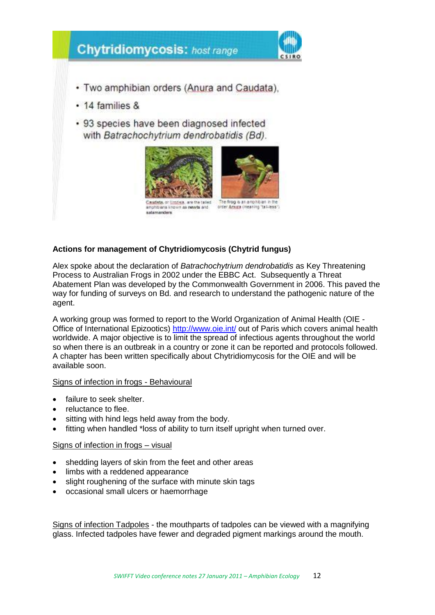

### **Actions for management of Chytridiomycosis (Chytrid fungus)**

Alex spoke about the declaration of *Batrachochytrium dendrobatidis* as Key Threatening Process to Australian Frogs in 2002 under the EBBC Act. Subsequently a Threat Abatement Plan was developed by the Commonwealth Government in 2006. This paved the way for funding of surveys on Bd. and research to understand the pathogenic nature of the agent.

A working group was formed to report to the World Organization of Animal Health (OIE - Office of International Epizootics) <http://www.oie.int/> out of Paris which covers animal health worldwide. A major objective is to limit the spread of infectious agents throughout the world so when there is an outbreak in a country or zone it can be reported and protocols followed. A chapter has been written specifically about Chytridiomycosis for the OIE and will be available soon.

#### Signs of infection in frogs - Behavioural

- failure to seek shelter.
- reluctance to flee.
- sitting with hind legs held away from the body.
- fitting when handled \*loss of ability to turn itself upright when turned over.

#### Signs of infection in frogs – visual

- shedding layers of skin from the feet and other areas
- limbs with a reddened appearance
- slight roughening of the surface with minute skin tags
- occasional small ulcers or haemorrhage

Signs of infection Tadpoles - the mouthparts of tadpoles can be viewed with a magnifying glass. Infected tadpoles have fewer and degraded pigment markings around the mouth.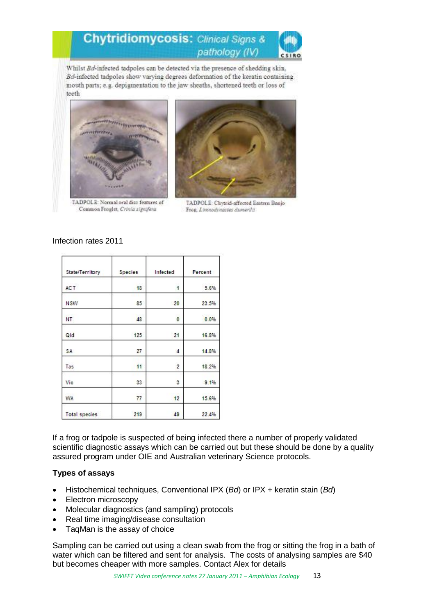#### **Chytridiomycosis: Clinical Signs &** pathology (IV)  $CSDO$

Whilst Bd-infected tadpoles can be detected via the presence of shedding skin, Bd-infected tadpoles show varying degrees deformation of the keratin containing mouth parts; e.g. depigmentation to the jaw sheaths, shortened teeth or loss of teeth



TADPOLE: Normal oral disc features of Common Froglet, Crinia signifera



TADPOLE: Chytrid-affected Eastern Banjo Frog, Linosodynastes dumerilis

| State/Territory      | Species | Infected       | Percent |
|----------------------|---------|----------------|---------|
| <b>ACT</b>           | 18      | 1              | 5.6%    |
| <b>NSW</b>           | 85      | 20             | 23.5%   |
| NT.                  | 48      | 0              | 0.0%    |
| Qld                  | 125     | 21             | 16.8%   |
| SA                   | 27      | 4              | 14.8%   |
| Tas                  | 11      | $\overline{2}$ | 18.2%   |
| Vic                  | 33      | 3              | 9.1%    |
| WA                   | 77      | 12             | 15.6%   |
| <b>Total species</b> | 219     | 49             | 22.4%   |

#### Infection rates 2011

If a frog or tadpole is suspected of being infected there a number of properly validated scientific diagnostic assays which can be carried out but these should be done by a quality assured program under OIE and Australian veterinary Science protocols.

#### **Types of assays**

- Histochemical techniques, Conventional IPX (*Bd*) or IPX + keratin stain (*Bd*)
- Electron microscopy
- Molecular diagnostics (and sampling) protocols
- Real time imaging/disease consultation
- TaqMan is the assay of choice

Sampling can be carried out using a clean swab from the frog or sitting the frog in a bath of water which can be filtered and sent for analysis. The costs of analysing samples are \$40 but becomes cheaper with more samples. Contact Alex for details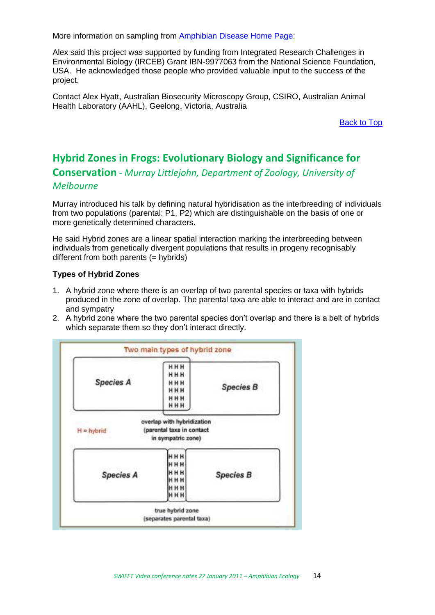More information on sampling from [Amphibian Disease Home Page:](https://wildlifehealthaustralia.com.au/Resources/TabId/161/ArtMID/821/ArticleID/2038/Amphibian-Diseases-Home-Page.aspx)

Alex said this project was supported by funding from Integrated Research Challenges in Environmental Biology (IRCEB) Grant IBN-9977063 from the National Science Foundation, USA. He acknowledged those people who provided valuable input to the success of the project.

Contact Alex Hyatt, Australian Biosecurity Microscopy Group, CSIRO, Australian Animal Health Laboratory (AAHL), Geelong, Victoria, Australia

[Back to Top](#page-0-0)

# <span id="page-13-0"></span>**Hybrid Zones in Frogs: Evolutionary Biology and Significance for**

**Conservation** *- Murray Littlejohn, Department of Zoology, University of* 

### *Melbourne*

Murray introduced his talk by defining natural hybridisation as the interbreeding of individuals from two populations (parental: P1, P2) which are distinguishable on the basis of one or more genetically determined characters.

He said Hybrid zones are a linear spatial interaction marking the interbreeding between individuals from genetically divergent populations that results in progeny recognisably different from both parents  $(=$  hybrids)

#### **Types of Hybrid Zones**

- 1. A hybrid zone where there is an overlap of two parental species or taxa with hybrids produced in the zone of overlap. The parental taxa are able to interact and are in contact and sympatry
- 2. A hybrid zone where the two parental species don't overlap and there is a belt of hybrids which separate them so they don't interact directly.

| <b>Species A</b> | HHH<br>HHH<br>HHH<br>HHH<br>HHH<br>HHH                                        | <b>Species B</b> |
|------------------|-------------------------------------------------------------------------------|------------------|
| $H = hybrid$     | overlap with hybridization<br>(parental taxa in contact<br>in sympatric zone) |                  |
| <b>Species A</b> | HHH<br>HHH<br><b>HHH</b><br>HHH<br>HHH                                        | <b>Species B</b> |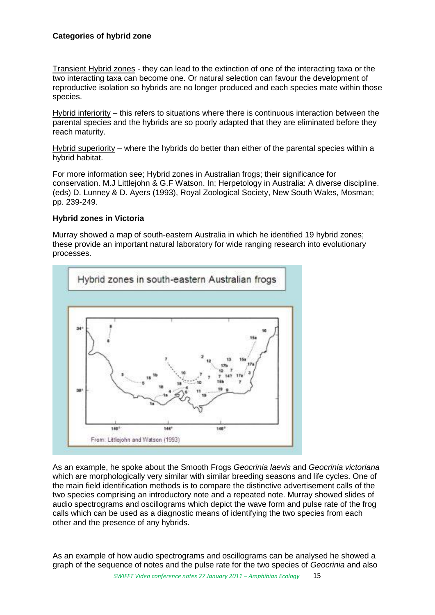#### **Categories of hybrid zone**

Transient Hybrid zones - they can lead to the extinction of one of the interacting taxa or the two interacting taxa can become one. Or natural selection can favour the development of reproductive isolation so hybrids are no longer produced and each species mate within those species.

Hybrid inferiority – this refers to situations where there is continuous interaction between the parental species and the hybrids are so poorly adapted that they are eliminated before they reach maturity.

Hybrid superiority – where the hybrids do better than either of the parental species within a hybrid habitat.

For more information see; Hybrid zones in Australian frogs; their significance for conservation. M.J Littlejohn & G.F Watson. In; Herpetology in Australia: A diverse discipline. (eds) D. Lunney & D. Ayers (1993), Royal Zoological Society, New South Wales, Mosman; pp. 239-249.

#### **Hybrid zones in Victoria**

Murray showed a map of south-eastern Australia in which he identified 19 hybrid zones; these provide an important natural laboratory for wide ranging research into evolutionary processes.



As an example, he spoke about the Smooth Frogs *Geocrinia laevis* and *Geocrinia victoriana* which are morphologically very similar with similar breeding seasons and life cycles. One of the main field identification methods is to compare the distinctive advertisement calls of the two species comprising an introductory note and a repeated note. Murray showed slides of audio spectrograms and oscillograms which depict the wave form and pulse rate of the frog calls which can be used as a diagnostic means of identifying the two species from each other and the presence of any hybrids.

As an example of how audio spectrograms and oscillograms can be analysed he showed a graph of the sequence of notes and the pulse rate for the two species of *Geocrinia* and also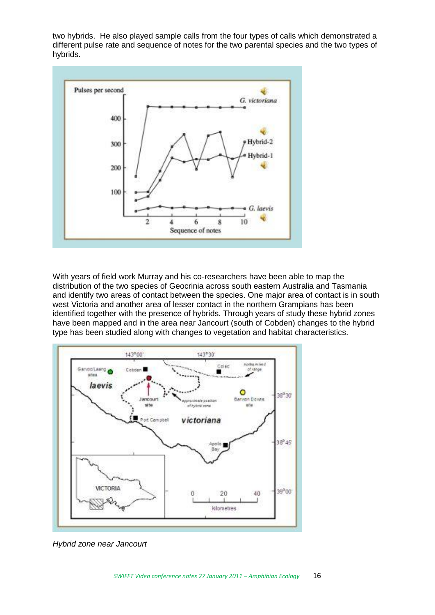two hybrids. He also played sample calls from the four types of calls which demonstrated a different pulse rate and sequence of notes for the two parental species and the two types of hybrids.



With years of field work Murray and his co-researchers have been able to map the distribution of the two species of Geocrinia across south eastern Australia and Tasmania and identify two areas of contact between the species. One major area of contact is in south west Victoria and another area of lesser contact in the northern Grampians has been identified together with the presence of hybrids. Through years of study these hybrid zones have been mapped and in the area near Jancourt (south of Cobden) changes to the hybrid type has been studied along with changes to vegetation and habitat characteristics.



*Hybrid zone near Jancourt*